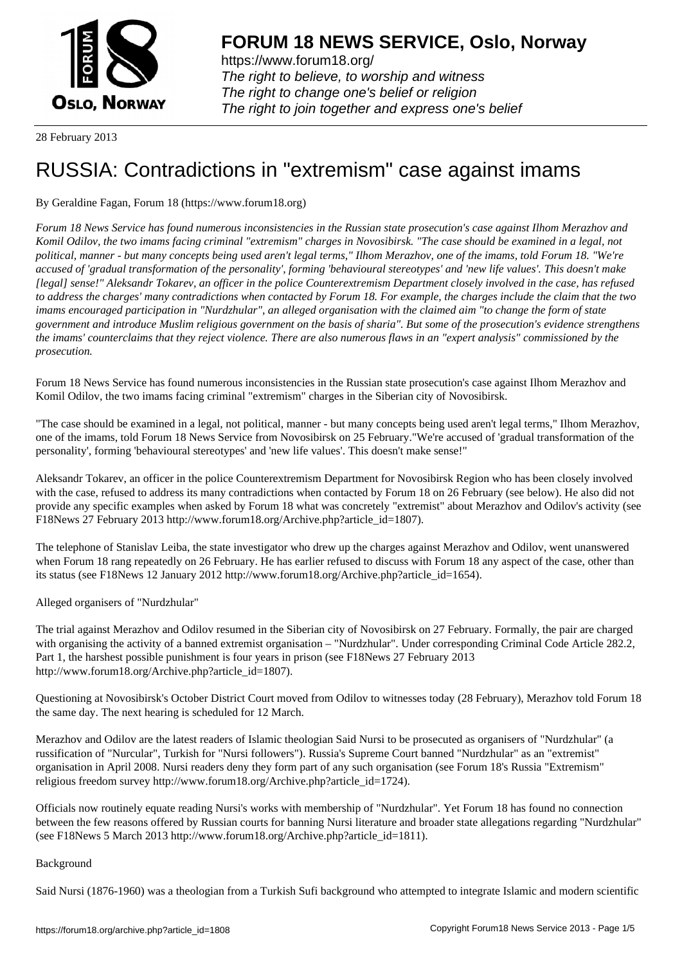

https://www.forum18.org/ The right to believe, to worship and witness The right to change one's belief or religion [The right to join together a](https://www.forum18.org/)nd express one's belief

28 February 2013

# [RUSSIA: Contra](https://www.forum18.org)dictions in "extremism" case against imams

## By Geraldine Fagan, Forum 18 (https://www.forum18.org)

*Forum 18 News Service has found numerous inconsistencies in the Russian state prosecution's case against Ilhom Merazhov and Komil Odilov, the two imams facing criminal "extremism" charges in Novosibirsk. "The case should be examined in a legal, not political, manner - but many concepts being used aren't legal terms," Ilhom Merazhov, one of the imams, told Forum 18. "We're accused of 'gradual transformation of the personality', forming 'behavioural stereotypes' and 'new life values'. This doesn't make [legal] sense!" Aleksandr Tokarev, an officer in the police Counterextremism Department closely involved in the case, has refused to address the charges' many contradictions when contacted by Forum 18. For example, the charges include the claim that the two imams encouraged participation in "Nurdzhular", an alleged organisation with the claimed aim "to change the form of state government and introduce Muslim religious government on the basis of sharia". But some of the prosecution's evidence strengthens the imams' counterclaims that they reject violence. There are also numerous flaws in an "expert analysis" commissioned by the prosecution.*

Forum 18 News Service has found numerous inconsistencies in the Russian state prosecution's case against Ilhom Merazhov and Komil Odilov, the two imams facing criminal "extremism" charges in the Siberian city of Novosibirsk.

"The case should be examined in a legal, not political, manner - but many concepts being used aren't legal terms," Ilhom Merazhov, one of the imams, told Forum 18 News Service from Novosibirsk on 25 February."We're accused of 'gradual transformation of the personality', forming 'behavioural stereotypes' and 'new life values'. This doesn't make sense!"

Aleksandr Tokarev, an officer in the police Counterextremism Department for Novosibirsk Region who has been closely involved with the case, refused to address its many contradictions when contacted by Forum 18 on 26 February (see below). He also did not provide any specific examples when asked by Forum 18 what was concretely "extremist" about Merazhov and Odilov's activity (see F18News 27 February 2013 http://www.forum18.org/Archive.php?article\_id=1807).

The telephone of Stanislav Leiba, the state investigator who drew up the charges against Merazhov and Odilov, went unanswered when Forum 18 rang repeatedly on 26 February. He has earlier refused to discuss with Forum 18 any aspect of the case, other than its status (see F18News 12 January 2012 http://www.forum18.org/Archive.php?article\_id=1654).

Alleged organisers of "Nurdzhular"

The trial against Merazhov and Odilov resumed in the Siberian city of Novosibirsk on 27 February. Formally, the pair are charged with organising the activity of a banned extremist organisation – "Nurdzhular". Under corresponding Criminal Code Article 282.2, Part 1, the harshest possible punishment is four years in prison (see F18News 27 February 2013 http://www.forum18.org/Archive.php?article\_id=1807).

Questioning at Novosibirsk's October District Court moved from Odilov to witnesses today (28 February), Merazhov told Forum 18 the same day. The next hearing is scheduled for 12 March.

Merazhov and Odilov are the latest readers of Islamic theologian Said Nursi to be prosecuted as organisers of "Nurdzhular" (a russification of "Nurcular", Turkish for "Nursi followers"). Russia's Supreme Court banned "Nurdzhular" as an "extremist" organisation in April 2008. Nursi readers deny they form part of any such organisation (see Forum 18's Russia "Extremism" religious freedom survey http://www.forum18.org/Archive.php?article\_id=1724).

Officials now routinely equate reading Nursi's works with membership of "Nurdzhular". Yet Forum 18 has found no connection between the few reasons offered by Russian courts for banning Nursi literature and broader state allegations regarding "Nurdzhular" (see F18News 5 March 2013 http://www.forum18.org/Archive.php?article\_id=1811).

### Background

Said Nursi (1876-1960) was a theologian from a Turkish Sufi background who attempted to integrate Islamic and modern scientific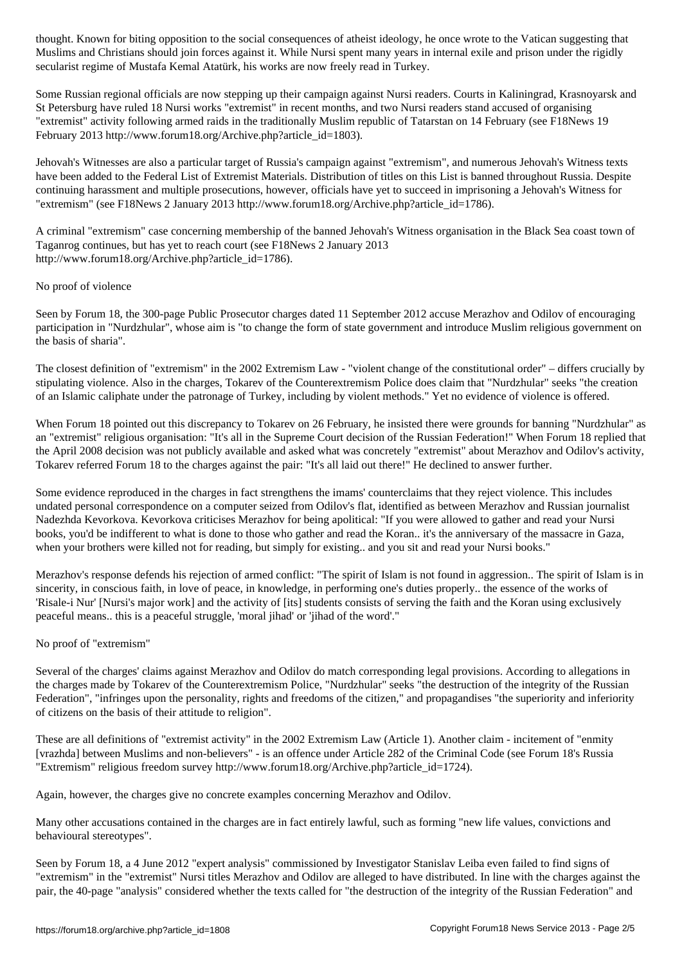Muslims and Christians should join forces against it. While Nursi spent many years in internal exile and prison under the rigidly secularist regime of Mustafa Kemal Atatürk, his works are now freely read in Turkey.

Some Russian regional officials are now stepping up their campaign against Nursi readers. Courts in Kaliningrad, Krasnoyarsk and St Petersburg have ruled 18 Nursi works "extremist" in recent months, and two Nursi readers stand accused of organising "extremist" activity following armed raids in the traditionally Muslim republic of Tatarstan on 14 February (see F18News 19 February 2013 http://www.forum18.org/Archive.php?article\_id=1803).

Jehovah's Witnesses are also a particular target of Russia's campaign against "extremism", and numerous Jehovah's Witness texts have been added to the Federal List of Extremist Materials. Distribution of titles on this List is banned throughout Russia. Despite continuing harassment and multiple prosecutions, however, officials have yet to succeed in imprisoning a Jehovah's Witness for "extremism" (see F18News 2 January 2013 http://www.forum18.org/Archive.php?article\_id=1786).

A criminal "extremism" case concerning membership of the banned Jehovah's Witness organisation in the Black Sea coast town of Taganrog continues, but has yet to reach court (see F18News 2 January 2013 http://www.forum18.org/Archive.php?article\_id=1786).

### No proof of violence

Seen by Forum 18, the 300-page Public Prosecutor charges dated 11 September 2012 accuse Merazhov and Odilov of encouraging participation in "Nurdzhular", whose aim is "to change the form of state government and introduce Muslim religious government on the basis of sharia".

The closest definition of "extremism" in the 2002 Extremism Law - "violent change of the constitutional order" – differs crucially by stipulating violence. Also in the charges, Tokarev of the Counterextremism Police does claim that "Nurdzhular" seeks "the creation of an Islamic caliphate under the patronage of Turkey, including by violent methods." Yet no evidence of violence is offered.

When Forum 18 pointed out this discrepancy to Tokarev on 26 February, he insisted there were grounds for banning "Nurdzhular" as an "extremist" religious organisation: "It's all in the Supreme Court decision of the Russian Federation!" When Forum 18 replied that the April 2008 decision was not publicly available and asked what was concretely "extremist" about Merazhov and Odilov's activity, Tokarev referred Forum 18 to the charges against the pair: "It's all laid out there!" He declined to answer further.

Some evidence reproduced in the charges in fact strengthens the imams' counterclaims that they reject violence. This includes undated personal correspondence on a computer seized from Odilov's flat, identified as between Merazhov and Russian journalist Nadezhda Kevorkova. Kevorkova criticises Merazhov for being apolitical: "If you were allowed to gather and read your Nursi books, you'd be indifferent to what is done to those who gather and read the Koran.. it's the anniversary of the massacre in Gaza, when your brothers were killed not for reading, but simply for existing.. and you sit and read your Nursi books."

Merazhov's response defends his rejection of armed conflict: "The spirit of Islam is not found in aggression.. The spirit of Islam is in sincerity, in conscious faith, in love of peace, in knowledge, in performing one's duties properly.. the essence of the works of 'Risale-i Nur' [Nursi's major work] and the activity of [its] students consists of serving the faith and the Koran using exclusively peaceful means.. this is a peaceful struggle, 'moral jihad' or 'jihad of the word'."

### No proof of "extremism"

Several of the charges' claims against Merazhov and Odilov do match corresponding legal provisions. According to allegations in the charges made by Tokarev of the Counterextremism Police, "Nurdzhular" seeks "the destruction of the integrity of the Russian Federation", "infringes upon the personality, rights and freedoms of the citizen," and propagandises "the superiority and inferiority of citizens on the basis of their attitude to religion".

These are all definitions of "extremist activity" in the 2002 Extremism Law (Article 1). Another claim - incitement of "enmity [vrazhda] between Muslims and non-believers" - is an offence under Article 282 of the Criminal Code (see Forum 18's Russia "Extremism" religious freedom survey http://www.forum18.org/Archive.php?article\_id=1724).

Again, however, the charges give no concrete examples concerning Merazhov and Odilov.

Many other accusations contained in the charges are in fact entirely lawful, such as forming "new life values, convictions and behavioural stereotypes".

Seen by Forum 18, a 4 June 2012 "expert analysis" commissioned by Investigator Stanislav Leiba even failed to find signs of "extremism" in the "extremist" Nursi titles Merazhov and Odilov are alleged to have distributed. In line with the charges against the pair, the 40-page "analysis" considered whether the texts called for "the destruction of the integrity of the Russian Federation" and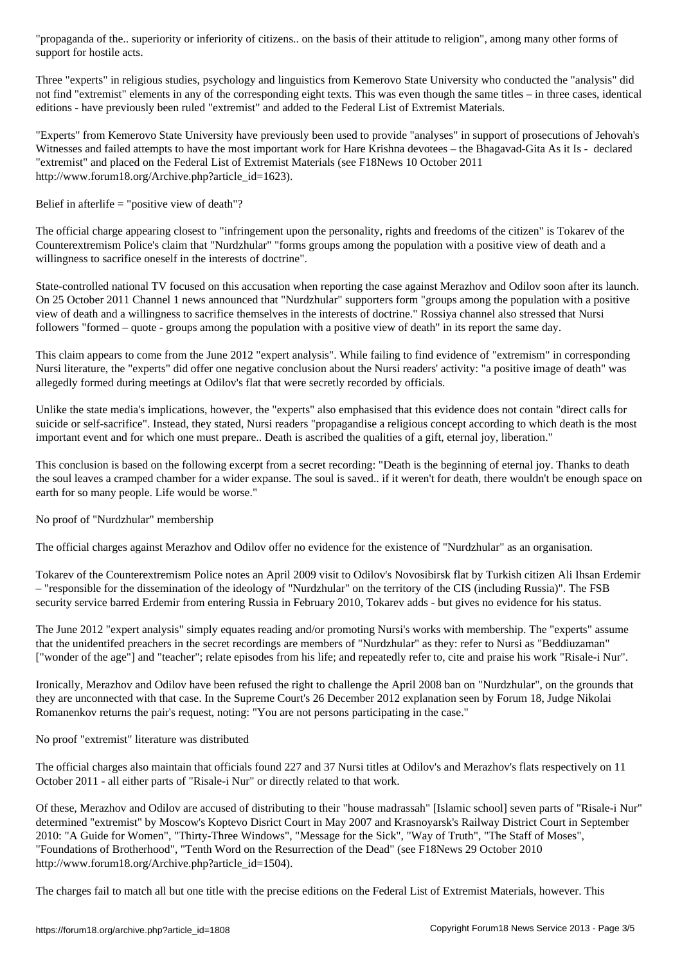support for hostile acts.

Three "experts" in religious studies, psychology and linguistics from Kemerovo State University who conducted the "analysis" did not find "extremist" elements in any of the corresponding eight texts. This was even though the same titles – in three cases, identical editions - have previously been ruled "extremist" and added to the Federal List of Extremist Materials.

"Experts" from Kemerovo State University have previously been used to provide "analyses" in support of prosecutions of Jehovah's Witnesses and failed attempts to have the most important work for Hare Krishna devotees – the Bhagavad-Gita As it Is - declared "extremist" and placed on the Federal List of Extremist Materials (see F18News 10 October 2011 http://www.forum18.org/Archive.php?article\_id=1623).

Belief in afterlife  $=$  "positive view of death"?

The official charge appearing closest to "infringement upon the personality, rights and freedoms of the citizen" is Tokarev of the Counterextremism Police's claim that "Nurdzhular" "forms groups among the population with a positive view of death and a willingness to sacrifice oneself in the interests of doctrine".

State-controlled national TV focused on this accusation when reporting the case against Merazhov and Odilov soon after its launch. On 25 October 2011 Channel 1 news announced that "Nurdzhular" supporters form "groups among the population with a positive view of death and a willingness to sacrifice themselves in the interests of doctrine." Rossiya channel also stressed that Nursi followers "formed – quote - groups among the population with a positive view of death" in its report the same day.

This claim appears to come from the June 2012 "expert analysis". While failing to find evidence of "extremism" in corresponding Nursi literature, the "experts" did offer one negative conclusion about the Nursi readers' activity: "a positive image of death" was allegedly formed during meetings at Odilov's flat that were secretly recorded by officials.

Unlike the state media's implications, however, the "experts" also emphasised that this evidence does not contain "direct calls for suicide or self-sacrifice". Instead, they stated, Nursi readers "propagandise a religious concept according to which death is the most important event and for which one must prepare.. Death is ascribed the qualities of a gift, eternal joy, liberation."

This conclusion is based on the following excerpt from a secret recording: "Death is the beginning of eternal joy. Thanks to death the soul leaves a cramped chamber for a wider expanse. The soul is saved.. if it weren't for death, there wouldn't be enough space on earth for so many people. Life would be worse."

No proof of "Nurdzhular" membership

The official charges against Merazhov and Odilov offer no evidence for the existence of "Nurdzhular" as an organisation.

Tokarev of the Counterextremism Police notes an April 2009 visit to Odilov's Novosibirsk flat by Turkish citizen Ali Ihsan Erdemir – "responsible for the dissemination of the ideology of "Nurdzhular" on the territory of the CIS (including Russia)". The FSB security service barred Erdemir from entering Russia in February 2010, Tokarev adds - but gives no evidence for his status.

The June 2012 "expert analysis" simply equates reading and/or promoting Nursi's works with membership. The "experts" assume that the unidentifed preachers in the secret recordings are members of "Nurdzhular" as they: refer to Nursi as "Beddiuzaman" ["wonder of the age"] and "teacher"; relate episodes from his life; and repeatedly refer to, cite and praise his work "Risale-i Nur".

Ironically, Merazhov and Odilov have been refused the right to challenge the April 2008 ban on "Nurdzhular", on the grounds that they are unconnected with that case. In the Supreme Court's 26 December 2012 explanation seen by Forum 18, Judge Nikolai Romanenkov returns the pair's request, noting: "You are not persons participating in the case."

No proof "extremist" literature was distributed

The official charges also maintain that officials found 227 and 37 Nursi titles at Odilov's and Merazhov's flats respectively on 11 October 2011 - all either parts of "Risale-i Nur" or directly related to that work.

Of these, Merazhov and Odilov are accused of distributing to their "house madrassah" [Islamic school] seven parts of "Risale-i Nur" determined "extremist" by Moscow's Koptevo Disrict Court in May 2007 and Krasnoyarsk's Railway District Court in September 2010: "A Guide for Women", "Thirty-Three Windows", "Message for the Sick", "Way of Truth", "The Staff of Moses", "Foundations of Brotherhood", "Tenth Word on the Resurrection of the Dead" (see F18News 29 October 2010 http://www.forum18.org/Archive.php?article\_id=1504).

The charges fail to match all but one title with the precise editions on the Federal List of Extremist Materials, however. This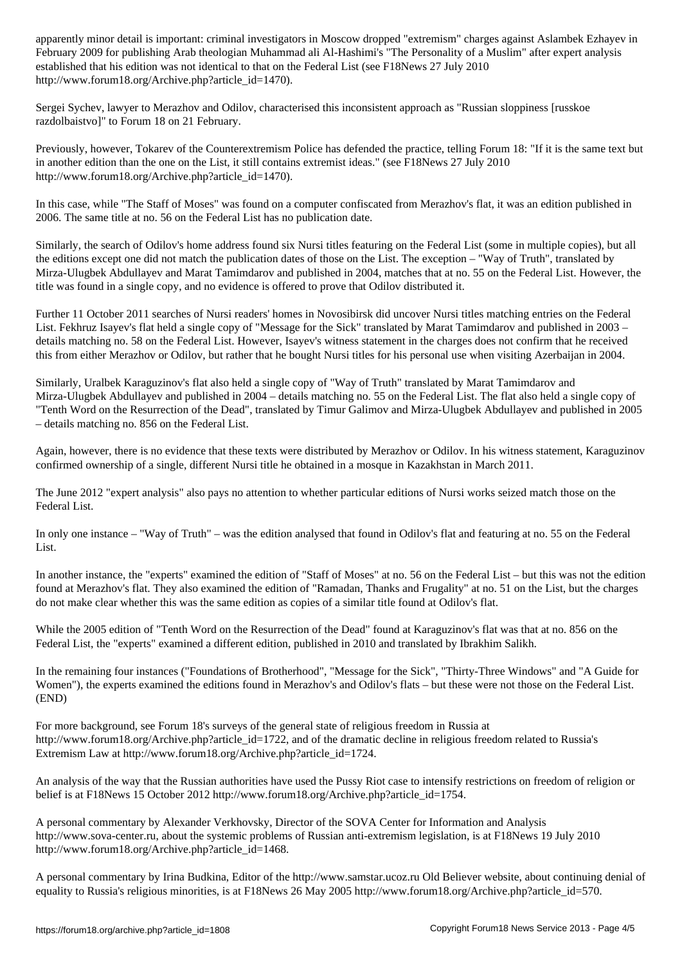February 2009 for publishing Arab theologian Muhammad ali Al-Hashimi's "The Personality of a Muslim" after expert analysis established that his edition was not identical to that on the Federal List (see F18News 27 July 2010 http://www.forum18.org/Archive.php?article\_id=1470).

Sergei Sychev, lawyer to Merazhov and Odilov, characterised this inconsistent approach as "Russian sloppiness [russkoe razdolbaistvo]" to Forum 18 on 21 February.

Previously, however, Tokarev of the Counterextremism Police has defended the practice, telling Forum 18: "If it is the same text but in another edition than the one on the List, it still contains extremist ideas." (see F18News 27 July 2010 http://www.forum18.org/Archive.php?article\_id=1470).

In this case, while "The Staff of Moses" was found on a computer confiscated from Merazhov's flat, it was an edition published in 2006. The same title at no. 56 on the Federal List has no publication date.

Similarly, the search of Odilov's home address found six Nursi titles featuring on the Federal List (some in multiple copies), but all the editions except one did not match the publication dates of those on the List. The exception – "Way of Truth", translated by Mirza-Ulugbek Abdullayev and Marat Tamimdarov and published in 2004, matches that at no. 55 on the Federal List. However, the title was found in a single copy, and no evidence is offered to prove that Odilov distributed it.

Further 11 October 2011 searches of Nursi readers' homes in Novosibirsk did uncover Nursi titles matching entries on the Federal List. Fekhruz Isayev's flat held a single copy of "Message for the Sick" translated by Marat Tamimdarov and published in 2003 – details matching no. 58 on the Federal List. However, Isayev's witness statement in the charges does not confirm that he received this from either Merazhov or Odilov, but rather that he bought Nursi titles for his personal use when visiting Azerbaijan in 2004.

Similarly, Uralbek Karaguzinov's flat also held a single copy of "Way of Truth" translated by Marat Tamimdarov and Mirza-Ulugbek Abdullayev and published in 2004 – details matching no. 55 on the Federal List. The flat also held a single copy of "Tenth Word on the Resurrection of the Dead", translated by Timur Galimov and Mirza-Ulugbek Abdullayev and published in 2005 – details matching no. 856 on the Federal List.

Again, however, there is no evidence that these texts were distributed by Merazhov or Odilov. In his witness statement, Karaguzinov confirmed ownership of a single, different Nursi title he obtained in a mosque in Kazakhstan in March 2011.

The June 2012 "expert analysis" also pays no attention to whether particular editions of Nursi works seized match those on the Federal List.

In only one instance – "Way of Truth" – was the edition analysed that found in Odilov's flat and featuring at no. 55 on the Federal List.

In another instance, the "experts" examined the edition of "Staff of Moses" at no. 56 on the Federal List – but this was not the edition found at Merazhov's flat. They also examined the edition of "Ramadan, Thanks and Frugality" at no. 51 on the List, but the charges do not make clear whether this was the same edition as copies of a similar title found at Odilov's flat.

While the 2005 edition of "Tenth Word on the Resurrection of the Dead" found at Karaguzinov's flat was that at no. 856 on the Federal List, the "experts" examined a different edition, published in 2010 and translated by Ibrakhim Salikh.

In the remaining four instances ("Foundations of Brotherhood", "Message for the Sick", "Thirty-Three Windows" and "A Guide for Women"), the experts examined the editions found in Merazhov's and Odilov's flats – but these were not those on the Federal List. (END)

For more background, see Forum 18's surveys of the general state of religious freedom in Russia at http://www.forum18.org/Archive.php?article\_id=1722, and of the dramatic decline in religious freedom related to Russia's Extremism Law at http://www.forum18.org/Archive.php?article\_id=1724.

An analysis of the way that the Russian authorities have used the Pussy Riot case to intensify restrictions on freedom of religion or belief is at F18News 15 October 2012 http://www.forum18.org/Archive.php?article\_id=1754.

A personal commentary by Alexander Verkhovsky, Director of the SOVA Center for Information and Analysis http://www.sova-center.ru, about the systemic problems of Russian anti-extremism legislation, is at F18News 19 July 2010 http://www.forum18.org/Archive.php?article\_id=1468.

A personal commentary by Irina Budkina, Editor of the http://www.samstar.ucoz.ru Old Believer website, about continuing denial of equality to Russia's religious minorities, is at F18News 26 May 2005 http://www.forum18.org/Archive.php?article\_id=570.